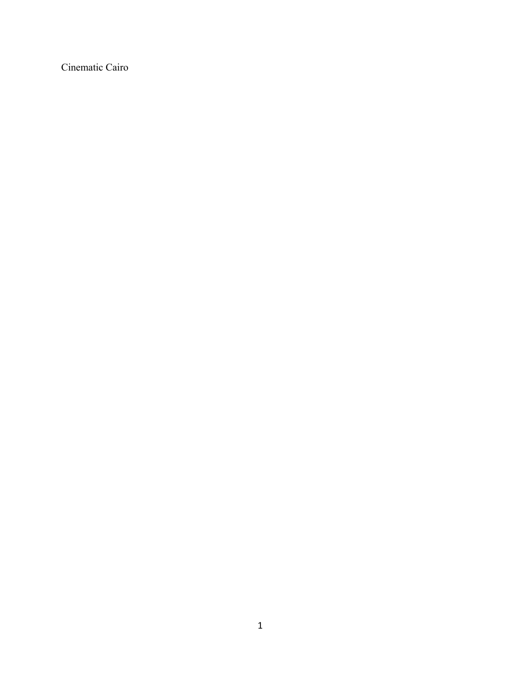Cinematic Cairo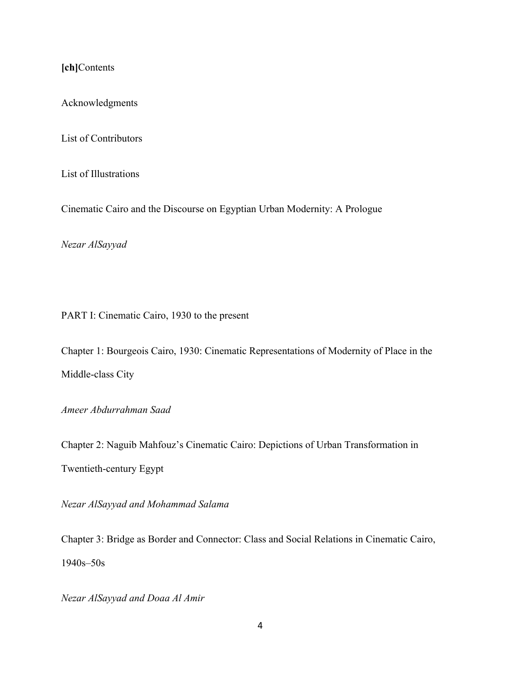**[ch]**Contents

Acknowledgments

List of Contributors

List of Illustrations

Cinematic Cairo and the Discourse on Egyptian Urban Modernity: A Prologue

*Nezar AlSayyad*

PART I: Cinematic Cairo, 1930 to the present

Chapter 1: Bourgeois Cairo, 1930: Cinematic Representations of Modernity of Place in the Middle-class City

*Ameer Abdurrahman Saad*

Chapter 2: Naguib Mahfouz's Cinematic Cairo: Depictions of Urban Transformation in Twentieth-century Egypt

*Nezar AlSayyad and Mohammad Salama*

Chapter 3: Bridge as Border and Connector: Class and Social Relations in Cinematic Cairo, 1940s–50s

*Nezar AlSayyad and Doaa Al Amir*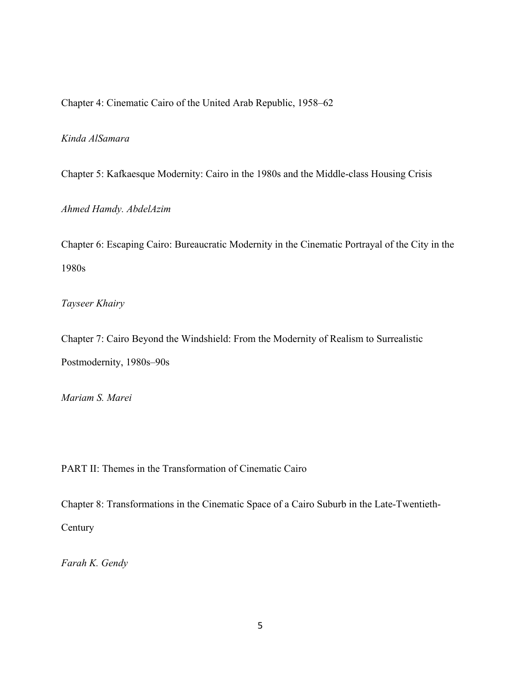Chapter 4: Cinematic Cairo of the United Arab Republic, 1958–62

## *Kinda AlSamara*

Chapter 5: Kafkaesque Modernity: Cairo in the 1980s and the Middle-class Housing Crisis

*Ahmed Hamdy. AbdelAzim*

Chapter 6: Escaping Cairo: Bureaucratic Modernity in the Cinematic Portrayal of the City in the 1980s

*Tayseer Khairy*

Chapter 7: Cairo Beyond the Windshield: From the Modernity of Realism to Surrealistic Postmodernity, 1980s–90s

*Mariam S. Marei*

PART II: Themes in the Transformation of Cinematic Cairo

Chapter 8: Transformations in the Cinematic Space of a Cairo Suburb in the Late-Twentieth-**Century** 

*Farah K. Gendy*